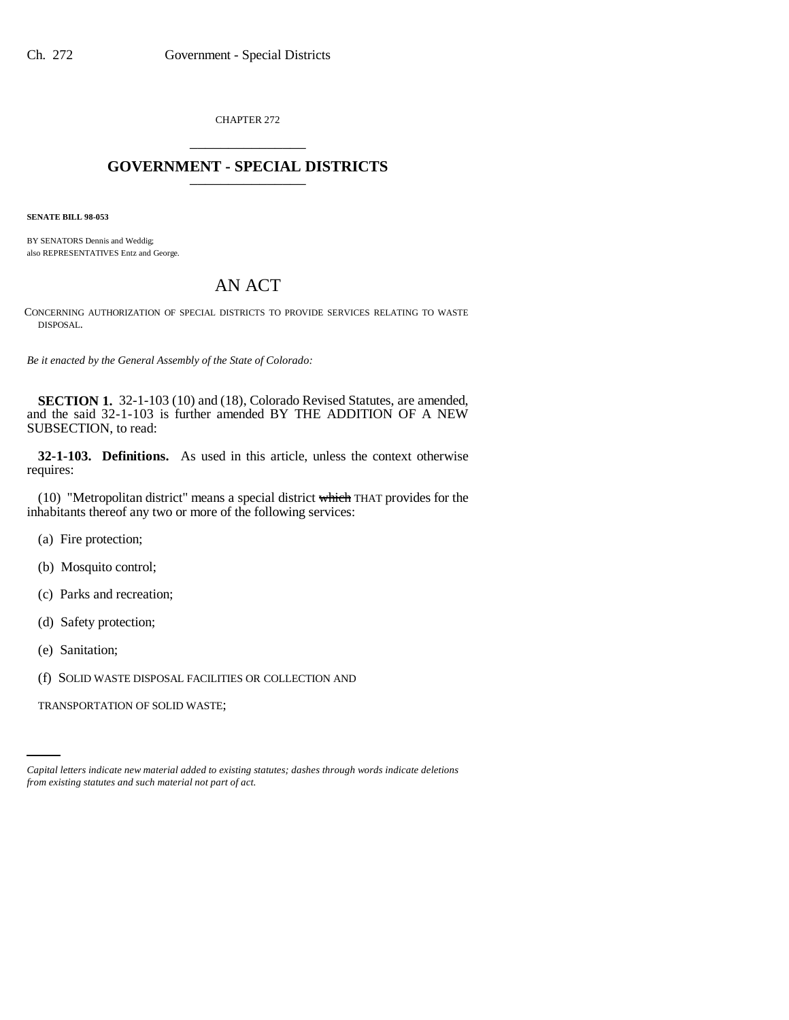CHAPTER 272 \_\_\_\_\_\_\_\_\_\_\_\_\_\_\_

## **GOVERNMENT - SPECIAL DISTRICTS** \_\_\_\_\_\_\_\_\_\_\_\_\_\_\_

**SENATE BILL 98-053**

BY SENATORS Dennis and Weddig; also REPRESENTATIVES Entz and George.

## AN ACT

CONCERNING AUTHORIZATION OF SPECIAL DISTRICTS TO PROVIDE SERVICES RELATING TO WASTE DISPOSAL.

*Be it enacted by the General Assembly of the State of Colorado:*

**SECTION 1.** 32-1-103 (10) and (18), Colorado Revised Statutes, are amended, and the said 32-1-103 is further amended BY THE ADDITION OF A NEW SUBSECTION, to read:

**32-1-103. Definitions.** As used in this article, unless the context otherwise requires:

(10) "Metropolitan district" means a special district which THAT provides for the inhabitants thereof any two or more of the following services:

- (a) Fire protection;
- (b) Mosquito control;
- (c) Parks and recreation;
- (d) Safety protection;
- (e) Sanitation;
- (f) SOLID WASTE DISPOSAL FACILITIES OR COLLECTION AND

TRANSPORTATION OF SOLID WASTE;

*Capital letters indicate new material added to existing statutes; dashes through words indicate deletions from existing statutes and such material not part of act.*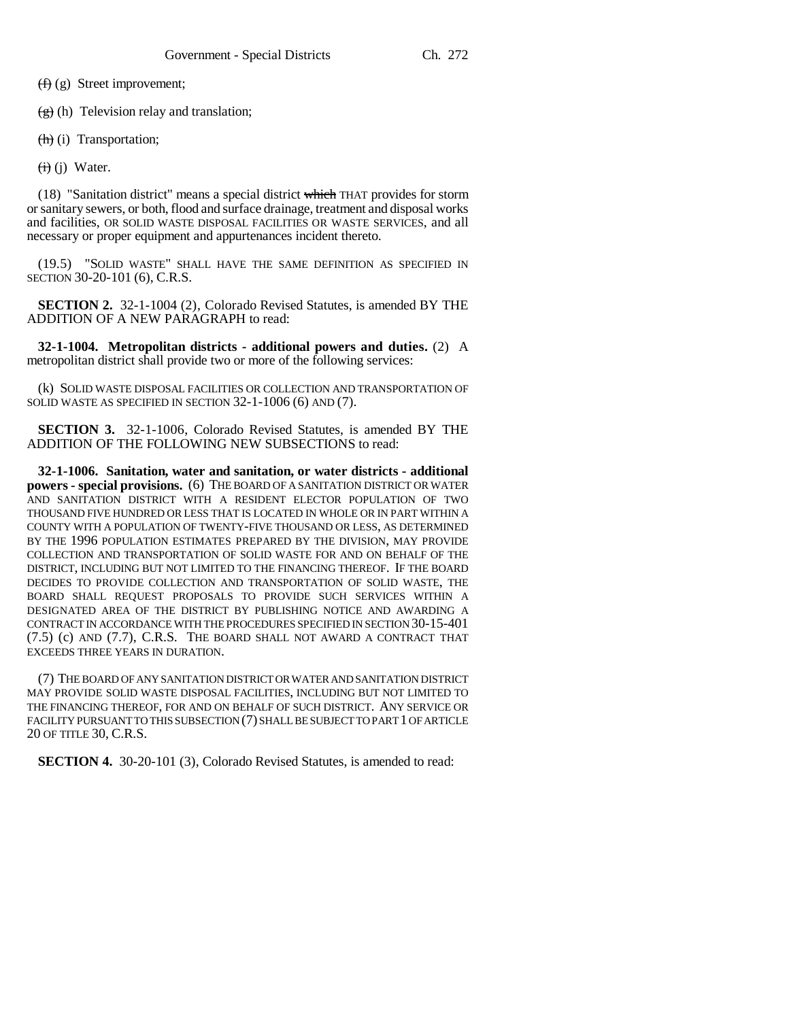(f) (g) Street improvement;

 $(g)$  (h) Television relay and translation;

 $(h)(i)$  Transportation;

 $\overline{(i)}$  (j) Water.

(18) "Sanitation district" means a special district which THAT provides for storm or sanitary sewers, or both, flood and surface drainage, treatment and disposal works and facilities, OR SOLID WASTE DISPOSAL FACILITIES OR WASTE SERVICES, and all necessary or proper equipment and appurtenances incident thereto.

(19.5) "SOLID WASTE" SHALL HAVE THE SAME DEFINITION AS SPECIFIED IN SECTION 30-20-101 (6), C.R.S.

**SECTION 2.** 32-1-1004 (2), Colorado Revised Statutes, is amended BY THE ADDITION OF A NEW PARAGRAPH to read:

**32-1-1004. Metropolitan districts - additional powers and duties.** (2) A metropolitan district shall provide two or more of the following services:

(k) SOLID WASTE DISPOSAL FACILITIES OR COLLECTION AND TRANSPORTATION OF SOLID WASTE AS SPECIFIED IN SECTION 32-1-1006 (6) AND (7).

**SECTION 3.** 32-1-1006, Colorado Revised Statutes, is amended BY THE ADDITION OF THE FOLLOWING NEW SUBSECTIONS to read:

**32-1-1006. Sanitation, water and sanitation, or water districts - additional powers - special provisions.** (6) THE BOARD OF A SANITATION DISTRICT OR WATER AND SANITATION DISTRICT WITH A RESIDENT ELECTOR POPULATION OF TWO THOUSAND FIVE HUNDRED OR LESS THAT IS LOCATED IN WHOLE OR IN PART WITHIN A COUNTY WITH A POPULATION OF TWENTY-FIVE THOUSAND OR LESS, AS DETERMINED BY THE 1996 POPULATION ESTIMATES PREPARED BY THE DIVISION, MAY PROVIDE COLLECTION AND TRANSPORTATION OF SOLID WASTE FOR AND ON BEHALF OF THE DISTRICT, INCLUDING BUT NOT LIMITED TO THE FINANCING THEREOF. IF THE BOARD DECIDES TO PROVIDE COLLECTION AND TRANSPORTATION OF SOLID WASTE, THE BOARD SHALL REQUEST PROPOSALS TO PROVIDE SUCH SERVICES WITHIN A DESIGNATED AREA OF THE DISTRICT BY PUBLISHING NOTICE AND AWARDING A CONTRACT IN ACCORDANCE WITH THE PROCEDURES SPECIFIED IN SECTION 30-15-401 (7.5) (c) AND (7.7), C.R.S. THE BOARD SHALL NOT AWARD A CONTRACT THAT EXCEEDS THREE YEARS IN DURATION.

(7) THE BOARD OF ANY SANITATION DISTRICT OR WATER AND SANITATION DISTRICT MAY PROVIDE SOLID WASTE DISPOSAL FACILITIES, INCLUDING BUT NOT LIMITED TO THE FINANCING THEREOF, FOR AND ON BEHALF OF SUCH DISTRICT. ANY SERVICE OR FACILITY PURSUANT TO THIS SUBSECTION (7) SHALL BE SUBJECT TO PART 1 OF ARTICLE 20 OF TITLE 30, C.R.S.

**SECTION 4.** 30-20-101 (3), Colorado Revised Statutes, is amended to read: